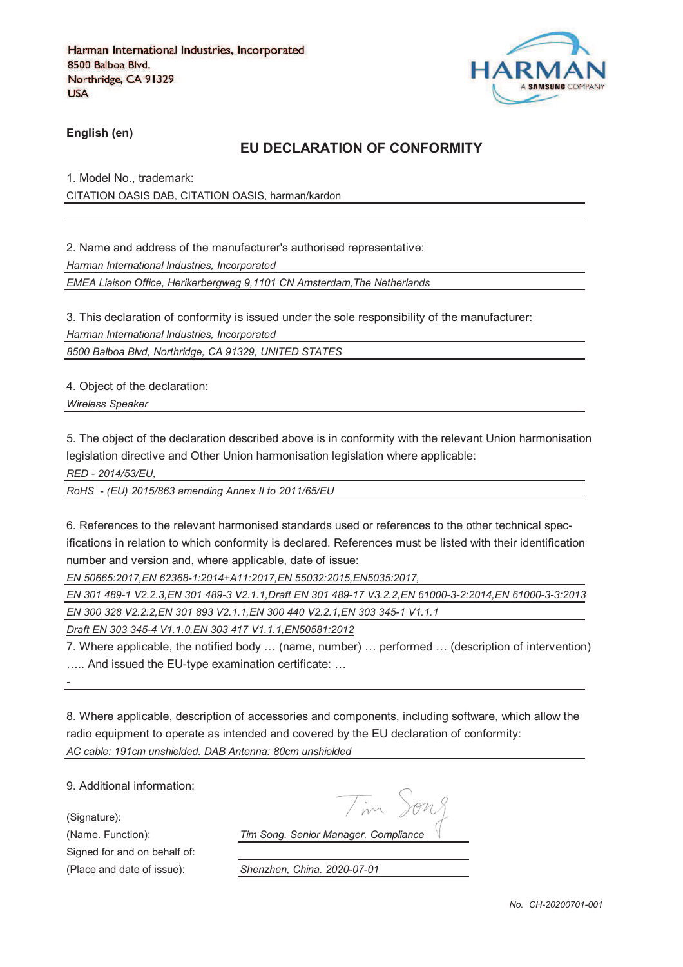

**English (en)**

## **EU DECLARATION OF CONFORMITY**

1. Model No., trademark: CITATION OASIS DAB, CITATION OASIS, harman/kardon

2. Name and address of the manufacturer's authorised representative:

*Harman International Industries, Incorporated*

*EMEA Liaison Office, Herikerbergweg 9,1101 CN Amsterdam,The Netherlands*

3. This declaration of conformity is issued under the sole responsibility of the manufacturer:

*Harman International Industries, Incorporated*

*8500 Balboa Blvd, Northridge, CA 91329, UNITED STATES*

4. Object of the declaration:

*Wireless Speaker* 

5. The object of the declaration described above is in conformity with the relevant Union harmonisation legislation directive and Other Union harmonisation legislation where applicable:

*RED - 2014/53/EU,*

*RoHS - (EU) 2015/863 amending Annex II to 2011/65/EU*

6. References to the relevant harmonised standards used or references to the other technical specifications in relation to which conformity is declared. References must be listed with their identification number and version and, where applicable, date of issue:

*EN 50665:2017,EN 62368-1:2014+A11:2017,EN 55032:2015,EN5035:2017,*

*EN 301 489-1 V2.2.3,EN 301 489-3 V2.1.1,Draft EN 301 489-17 V3.2.2,EN 61000-3-2:2014,EN 61000-3-3:2013*

*EN 300 328 V2.2.2,EN 301 893 V2.1.1,EN 300 440 V2.2.1,EN 303 345-1 V1.1.1*

*Draft EN 303 345-4 V1.1.0,EN 303 417 V1.1.1,EN50581:2012*

7. Where applicable, the notified body … (name, number) … performed … (description of intervention) ….. And issued the EU-type examination certificate: …

8. Where applicable, description of accessories and components, including software, which allow the radio equipment to operate as intended and covered by the EU declaration of conformity: *AC cable: 191cm unshielded. DAB Antenna: 80cm unshielded*

9. Additional information:

(Signature):

*-*

Signed for and on behalf of:

Tim Song

(Name. Function): *Tim Song. Senior Manager. Compliance*

(Place and date of issue): *Shenzhen, China. 2020-07-01*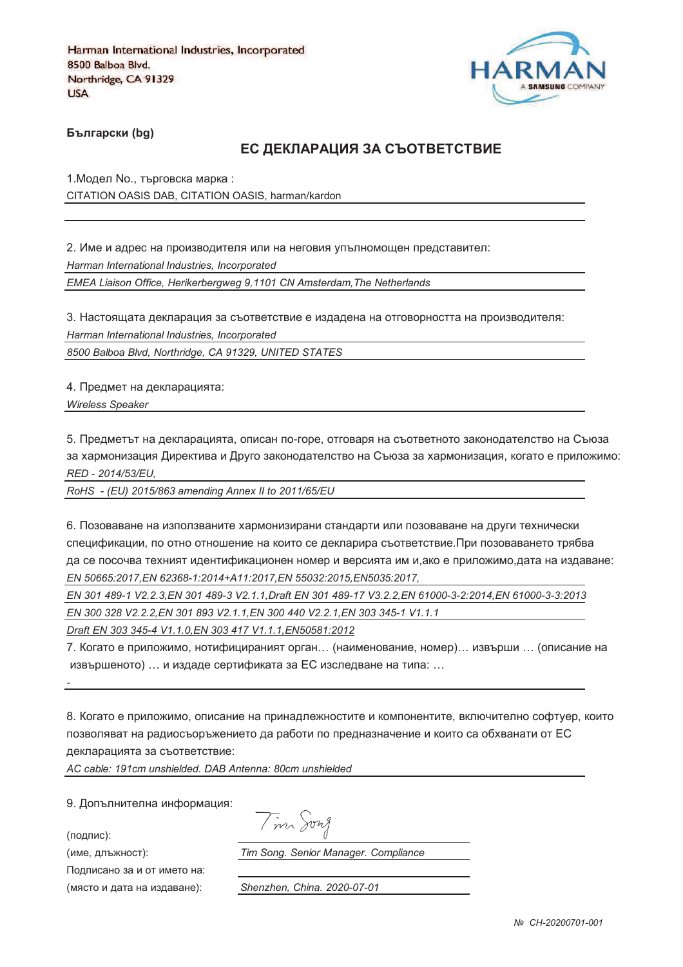

**Български (bg)** 

### ЕС ДЕКЛАРАЦИЯ ЗА СЪОТВЕТСТВИЕ

1. Модел No., търговска марка: CITATION OASIS DAB, CITATION OASIS, harman/kardon

2. Име и адрес на производителя или на неговия упълномощен представител: *Harman International Industries, Incorporated EMEA Liaison Office, Herikerbergweg 9,1101 CN Amsterdam,The Netherlands*

3. Настоящата декларация за съответствие е издадена на отговорността на производителя: *Harman International Industries, Incorporated*

*8500 Balboa Blvd, Northridge, CA 91329, UNITED STATES*

4. Предмет на декларацията:

*Wireless Speaker* 

5. Предметът на декларацията, описан по-горе, отговаря на съответното законодателство на Съюза за хармонизация Директива и Друго законодателство на Съюза за хармонизация, когато е приложимо: *RED - 2014/53/EU,*

*RoHS - (EU) 2015/863 amending Annex II to 2011/65/EU*

6. Позоваване на използваните хармонизирани стандарти или позоваване на други технически спецификации, по отно отношение на които се декларира съответствие.При позоваването трябва да се посочва техният идентификационен номер и версията им и,ако е приложимо,дата на издаване: *EN 50665:2017,EN 62368-1:2014+A11:2017,EN 55032:2015,EN5035:2017,*

*EN 301 489-1 V2.2.3,EN 301 489-3 V2.1.1,Draft EN 301 489-17 V3.2.2,EN 61000-3-2:2014,EN 61000-3-3:2013*

*EN 300 328 V2.2.2,EN 301 893 V2.1.1,EN 300 440 V2.2.1,EN 303 345-1 V1.1.1*

*Draft EN 303 345-4 V1.1.0,EN 303 417 V1.1.1,EN50581:2012*

7. Когато е приложимо, нотифицираният орган… (наименование, номер)… извърши … (описание на извършеното) … и издаде сертификата за ЕС изследване на типа: …

8. Когато е приложимо, описание на принадлежностите и компонентите, включително софтуер, които позволяват на радиосъоръжението да работи по предназначение и които са обхванати от ЕС декларацията за съответствие:

*AC cable: 191cm unshielded. DAB Antenna: 80cm unshielded*

9. Допълнителна информация:

(подпис):

*-*

(име, длъжност):

Подписано за и от името на: (място и дата на издав

Tim Song ): *Tim Song. Senior Manager. Compliance*

): *Shenzhen, China. 2020-07-01*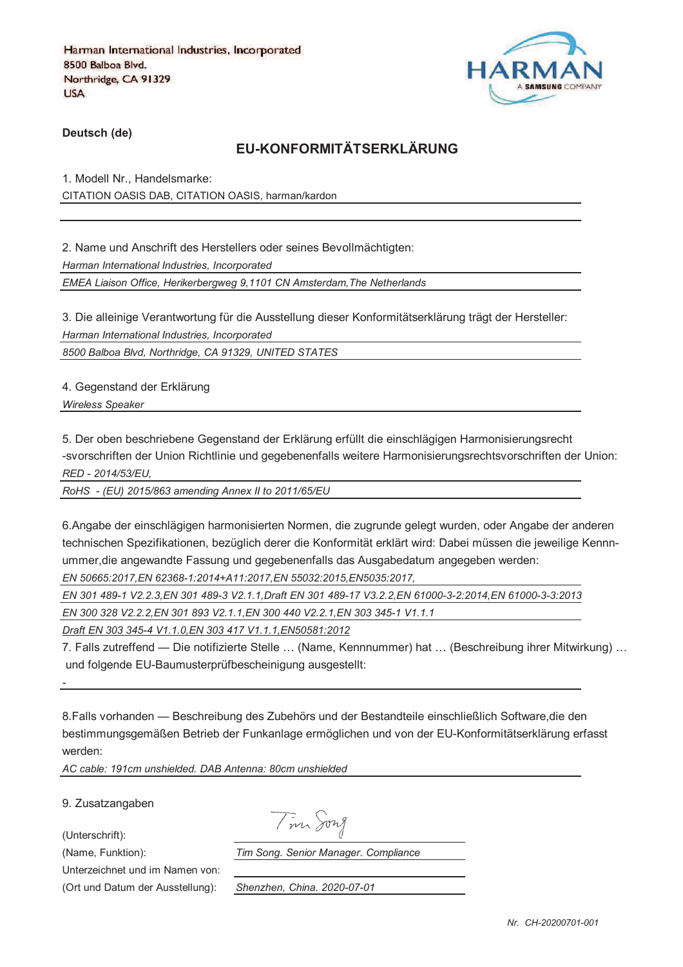

**Deutsch (de)**

# **EU-KONFORMITÄTSERKLÄRUNG**

1. Modell Nr., Handelsmarke: CITATION OASIS DAB, CITATION OASIS, harman/kardon

2. Name und Anschrift des Herstellers oder seines Bevollmächtigten: *Harman International Industries, Incorporated EMEA Liaison Office, Herikerbergweg 9,1101 CN Amsterdam,The Netherlands*

3. Die alleinige Verantwortung für die Ausstellung dieser Konformitätserklärung trägt der Hersteller: *Harman International Industries, Incorporated*

*8500 Balboa Blvd, Northridge, CA 91329, UNITED STATES*

4. Gegenstand der Erklärung

*Wireless Speaker* 

5. Der oben beschriebene Gegenstand der Erklärung erfüllt die einschlägigen Harmonisierungsrecht -svorschriften der Union Richtlinie und gegebenenfalls weitere Harmonisierungsrechtsvorschriften der Union: *RED - 2014/53/EU,*

*RoHS - (EU) 2015/863 amending Annex II to 2011/65/EU*

6.Angabe der einschlägigen harmonisierten Normen, die zugrunde gelegt wurden, oder Angabe der anderen technischen Spezifikationen, bezüglich derer die Konformität erklärt wird: Dabei müssen die jeweilige Kennnummer,die angewandte Fassung und gegebenenfalls das Ausgabedatum angegeben werden:

*EN 50665:2017,EN 62368-1:2014+A11:2017,EN 55032:2015,EN5035:2017,*

*EN 301 489-1 V2.2.3,EN 301 489-3 V2.1.1,Draft EN 301 489-17 V3.2.2,EN 61000-3-2:2014,EN 61000-3-3:2013*

*EN 300 328 V2.2.2,EN 301 893 V2.1.1,EN 300 440 V2.2.1,EN 303 345-1 V1.1.1*

*Draft EN 303 345-4 V1.1.0,EN 303 417 V1.1.1,EN50581:2012*

7. Falls zutreffend — Die notifizierte Stelle … (Name, Kennnummer) hat … (Beschreibung ihrer Mitwirkung) … und folgende EU-Baumusterprüfbescheinigung ausgestellt:

8.Falls vorhanden — Beschreibung des Zubehörs und der Bestandteile einschließlich Software,die den bestimmungsgemäßen Betrieb der Funkanlage ermöglichen und von der EU-Konformitätserklärung erfasst werden:

*AC cable: 191cm unshielded. DAB Antenna: 80cm unshielded*

9. Zusatzangaben

(Unterschrift):

*-*

Tim Song

Unterzeichnet und im Namen von:

(Ort und Datum der Ausstellung): *Shenzhen, China. 2020-07-01*

(Name, Funktion): *Tim Song. Senior Manager. Compliance*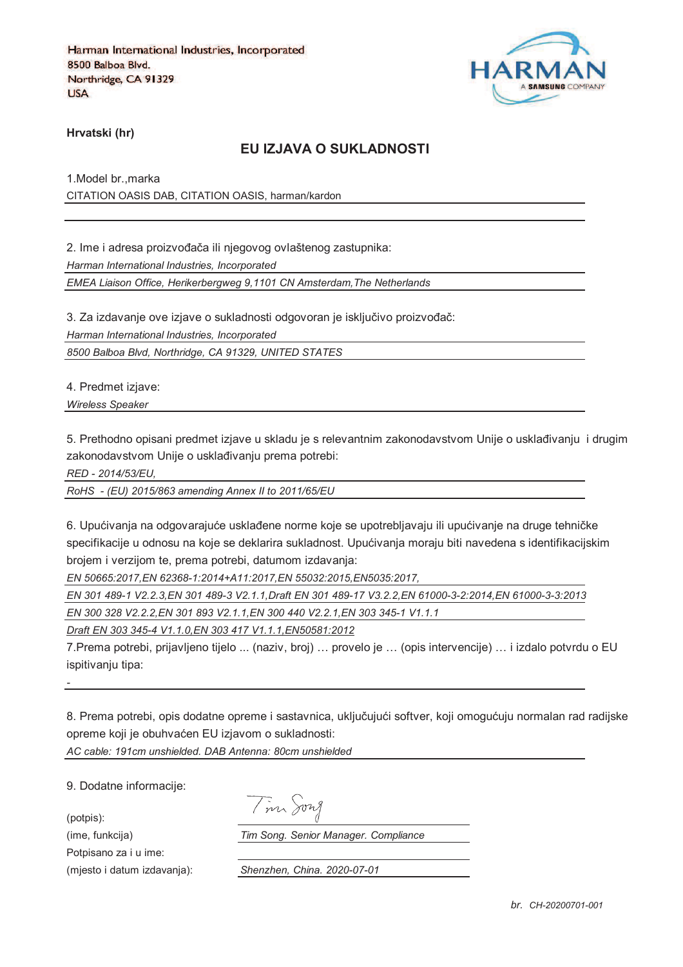

**Hrvatski (hr)**

### **EU IZJAVA O SUKLADNOSTI**

1.Model br.,marka CITATION OASIS DAB, CITATION OASIS, harman/kardon

2. Ime i adresa proizvođača ili njegovog ovlaštenog zastupnika: *Harman International Industries, Incorporated EMEA Liaison Office, Herikerbergweg 9,1101 CN Amsterdam,The Netherlands*

3. Za izdavanje ove izjave o sukladnosti odgovoran je isključivo proizvođač:

*Harman International Industries, Incorporated*

*8500 Balboa Blvd, Northridge, CA 91329, UNITED STATES*

4. Predmet izjave:

*Wireless Speaker* 

5. Prethodno opisani predmet izjave u skladu je s relevantnim zakonodavstvom Unije o usklađivanju i drugim zakonodavstvom Unije o usklađivanju prema potrebi:

*RED - 2014/53/EU,*

*RoHS - (EU) 2015/863 amending Annex II to 2011/65/EU*

6. Upućivanja na odgovarajuće usklađene norme koje se upotrebljavaju ili upućivanje na druge tehničke specifikacije u odnosu na koje se deklarira sukladnost. Upućivanja moraju biti navedena s identifikacijskim brojem i verzijom te, prema potrebi, datumom izdavanja:

*EN 50665:2017,EN 62368-1:2014+A11:2017,EN 55032:2015,EN5035:2017,*

*EN 301 489-1 V2.2.3,EN 301 489-3 V2.1.1,Draft EN 301 489-17 V3.2.2,EN 61000-3-2:2014,EN 61000-3-3:2013*

*EN 300 328 V2.2.2,EN 301 893 V2.1.1,EN 300 440 V2.2.1,EN 303 345-1 V1.1.1*

*Draft EN 303 345-4 V1.1.0,EN 303 417 V1.1.1,EN50581:2012*

7.Prema potrebi, prijavljeno tijelo ... (naziv, broj) … provelo je … (opis intervencije) … i izdalo potvrdu o EU ispitivaniu tipa:

8. Prema potrebi, opis dodatne opreme i sastavnica, uključujući softver, koji omogućuju normalan rad radijske opreme koji je obuhvaćen EU izjavom o sukladnosti: *AC cable: 191cm unshielded. DAB Antenna: 80cm unshielded*

9. Dodatne informacije:

*-*

(potpis): Potpisano za i u ime: Tim Song

(ime, funkcija) *Tim Song. Senior Manager. Compliance*

(mjesto i datum izdavanja): *Shenzhen, China. 2020-07-01*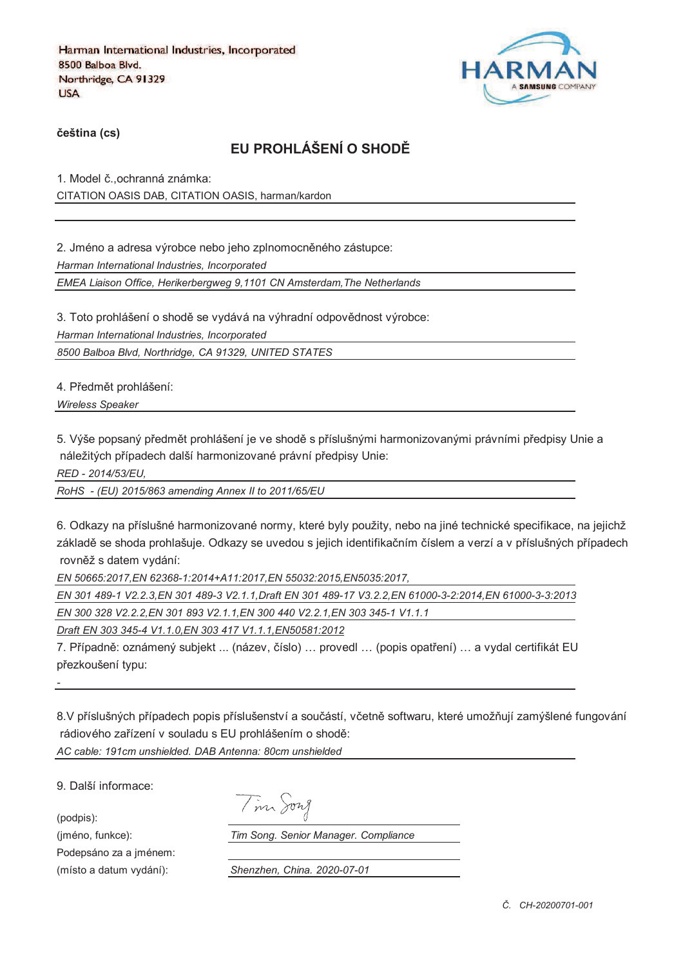

**%eština (cs)**

# **EU PROHLÁŠENÍ O SHOD&**

1. Model č., ochranná známka: CITATION OASIS DAB, CITATION OASIS, harman/kardon

2. Jméno a adresa výrobce nebo jeho zplnomocněného zástupce: *Harman International Industries, Incorporated EMEA Liaison Office, Herikerbergweg 9,1101 CN Amsterdam,The Netherlands*

3. Toto prohlášení o shodě se vydává na výhradní odpovědnost výrobce: *Harman International Industries, Incorporated*

*8500 Balboa Blvd, Northridge, CA 91329, UNITED STATES*

4. Předmět prohlášení:

*Wireless Speaker* 

5. Výše popsaný předmět prohlášení je ve shodě s příslušnými harmonizovanými právními předpisy Unie a náležitých případech další harmonizované právní předpisy Unie:

*RED - 2014/53/EU,*

*RoHS - (EU) 2015/863 amending Annex II to 2011/65/EU*

6. Odkazy na příslušné harmonizované normy, které byly použity, nebo na jiné technické specifikace, na jejichž základě se shoda prohlašuje. Odkazy se uvedou s jejich identifikačním číslem a verzí a v příslušných případech rovněž s datem vydání:

*EN 50665:2017,EN 62368-1:2014+A11:2017,EN 55032:2015,EN5035:2017,*

*EN 301 489-1 V2.2.3,EN 301 489-3 V2.1.1,Draft EN 301 489-17 V3.2.2,EN 61000-3-2:2014,EN 61000-3-3:2013 EN 300 328 V2.2.2,EN 301 893 V2.1.1,EN 300 440 V2.2.1,EN 303 345-1 V1.1.1*

*Draft EN 303 345-4 V1.1.0,EN 303 417 V1.1.1,EN50581:2012*

7. Případně: oznámený subjekt ... (název, číslo) ... provedl ... (popis opatření) ... a vydal certifikát EU přezkoušení typu:

8.V příslušných případech popis příslušenství a součástí, včetně softwaru, které umožňují zamýšlené fungování rádiového zařízení v souladu s EU prohlášením o shodě:

*AC cable: 191cm unshielded. DAB Antenna: 80cm unshielded*

9. Další informace:

(podpis):

*-*

Podepsáno za a jménem:

(jméno, funkce): *Tim Song. Senior Manager. Compliance*

(místo a datum vydání): *Shenzhen, China. 2020-07-01*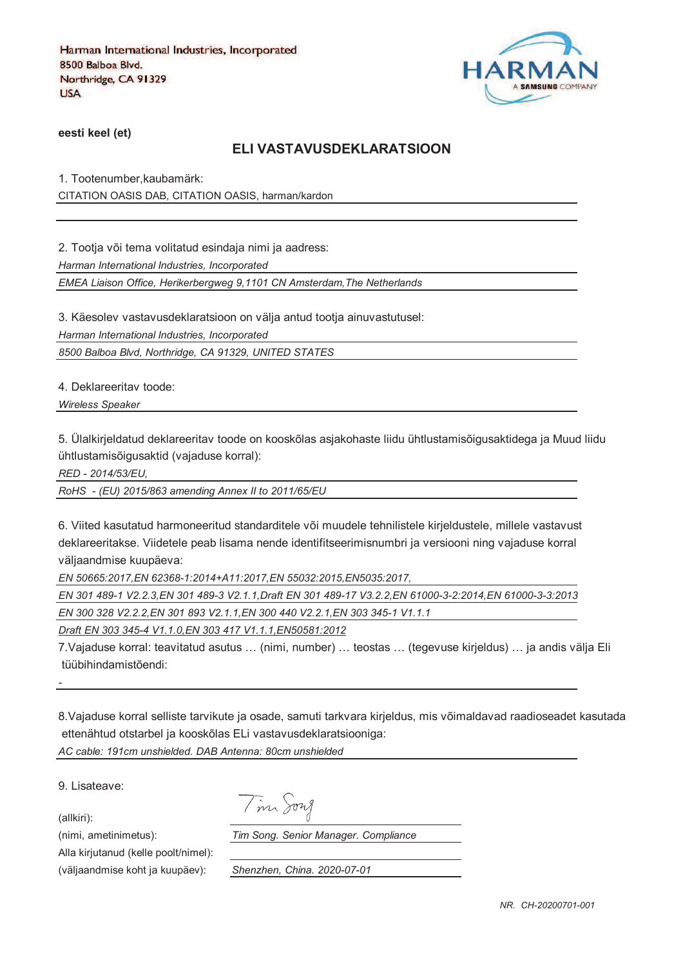

**eesti keel (et)**

### **ELI VASTAVUSDEKLARATSIOON**

1. Tootenumber,kaubamärk: CITATION OASIS DAB, CITATION OASIS, harman/kardon

2. Tootja või tema volitatud esindaja nimi ja aadress:

*Harman International Industries, Incorporated*

*EMEA Liaison Office, Herikerbergweg 9,1101 CN Amsterdam,The Netherlands*

3. Käesolev vastavusdeklaratsioon on välja antud tootja ainuvastutusel:

*Harman International Industries, Incorporated*

*8500 Balboa Blvd, Northridge, CA 91329, UNITED STATES*

4. Deklareeritav toode:

*Wireless Speaker* 

5. Ülalkirjeldatud deklareeritav toode on kooskõlas asjakohaste liidu ühtlustamisõigusaktidega ja Muud liidu ühtlustamisõigusaktid (vajaduse korral):

*RED - 2014/53/EU,*

*RoHS - (EU) 2015/863 amending Annex II to 2011/65/EU*

6. Viited kasutatud harmoneeritud standarditele või muudele tehnilistele kirjeldustele, millele vastavust deklareeritakse. Viidetele peab lisama nende identifitseerimisnumbri ja versiooni ning vajaduse korral väljaandmise kuupäeva:

*EN 50665:2017,EN 62368-1:2014+A11:2017,EN 55032:2015,EN5035:2017,*

*EN 301 489-1 V2.2.3,EN 301 489-3 V2.1.1,Draft EN 301 489-17 V3.2.2,EN 61000-3-2:2014,EN 61000-3-3:2013 EN 300 328 V2.2.2,EN 301 893 V2.1.1,EN 300 440 V2.2.1,EN 303 345-1 V1.1.1*

*Draft EN 303 345-4 V1.1.0,EN 303 417 V1.1.1,EN50581:2012*

7.Vajaduse korral: teavitatud asutus … (nimi, number) … teostas … (tegevuse kirjeldus) … ja andis välja Eli tüübihindamistõendi:

8.Vajaduse korral selliste tarvikute ja osade, samuti tarkvara kirjeldus, mis võimaldavad raadioseadet kasutada ettenähtud otstarbel ja kooskõlas ELi vastavusdeklaratsiooniga:

*AC cable: 191cm unshielded. DAB Antenna: 80cm unshielded*

9. Lisateave:

(allkiri):

*-*

(nimi, ametinimetus): *Tim Song. Senior Manager. Compliance*

Alla kirjutanud (kelle poolt/nimel):

(väljaandmise koht ja kuupäev): *Shenzhen, China. 2020-07-01*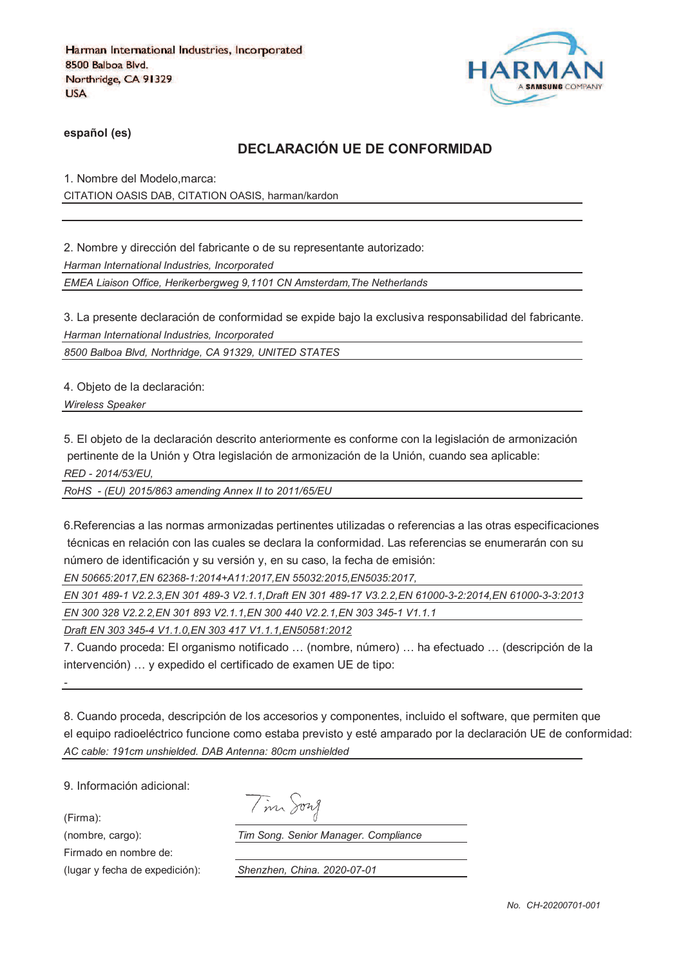

**español (es)**

## **DECLARACIÓN UE DE CONFORMIDAD**

1. Nombre del Modelo,marca: CITATION OASIS DAB, CITATION OASIS, harman/kardon

2. Nombre y dirección del fabricante o de su representante autorizado: *Harman International Industries, Incorporated EMEA Liaison Office, Herikerbergweg 9,1101 CN Amsterdam,The Netherlands*

3. La presente declaración de conformidad se expide bajo la exclusiva responsabilidad del fabricante. *Harman International Industries, Incorporated*

*8500 Balboa Blvd, Northridge, CA 91329, UNITED STATES*

4. Objeto de la declaración:

*Wireless Speaker* 

5. El objeto de la declaración descrito anteriormente es conforme con la legislación de armonización pertinente de la Unión y Otra legislación de armonización de la Unión, cuando sea aplicable: *RED - 2014/53/EU,*

*RoHS - (EU) 2015/863 amending Annex II to 2011/65/EU*

6.Referencias a las normas armonizadas pertinentes utilizadas o referencias a las otras especificaciones técnicas en relación con las cuales se declara la conformidad. Las referencias se enumerarán con su número de identificación y su versión y, en su caso, la fecha de emisión:

*EN 50665:2017,EN 62368-1:2014+A11:2017,EN 55032:2015,EN5035:2017,*

*EN 301 489-1 V2.2.3,EN 301 489-3 V2.1.1,Draft EN 301 489-17 V3.2.2,EN 61000-3-2:2014,EN 61000-3-3:2013*

*EN 300 328 V2.2.2,EN 301 893 V2.1.1,EN 300 440 V2.2.1,EN 303 345-1 V1.1.1*

*Draft EN 303 345-4 V1.1.0,EN 303 417 V1.1.1,EN50581:2012*

7. Cuando proceda: El organismo notificado … (nombre, número) … ha efectuado … (descripción de la intervención) … y expedido el certificado de examen UE de tipo:

8. Cuando proceda, descripción de los accesorios y componentes, incluido el software, que permiten que el equipo radioeléctrico funcione como estaba previsto y esté amparado por la declaración UE de conformidad: *AC cable: 191cm unshielded. DAB Antenna: 80cm unshielded*

9. Información adicional:

(Firma):

*-*

Firmado en nombre de:

Tim Song

(nombre, cargo): *Tim Song. Senior Manager. Compliance*

(lugar y fecha de expedición): *Shenzhen, China. 2020-07-01*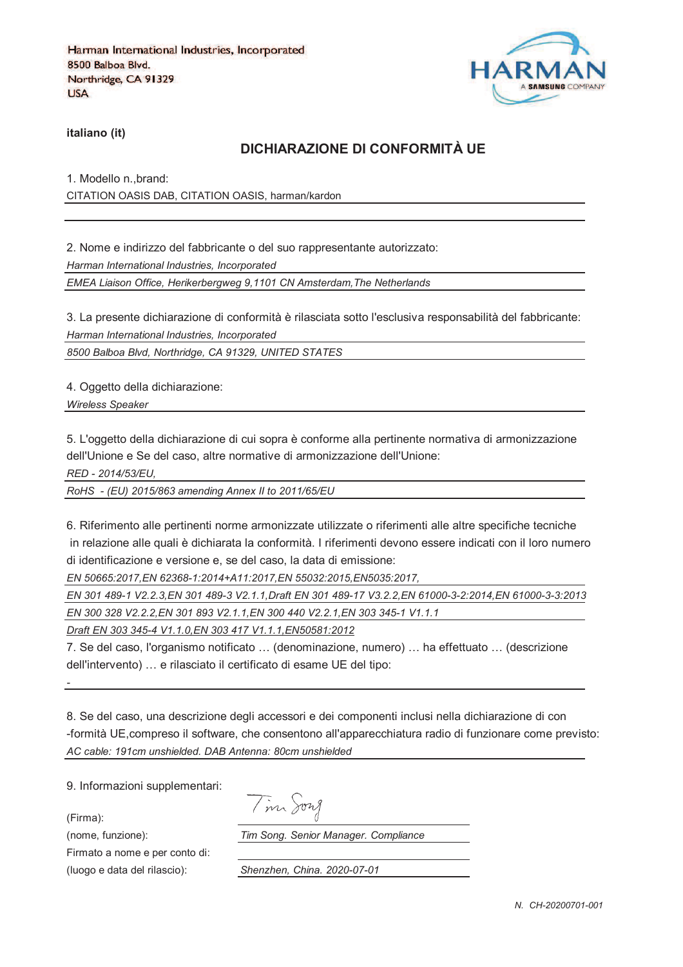

**italiano (it)**

## **DICHIARAZIONE DI CONFORMITÀ UE**

1. Modello n.,brand: CITATION OASIS DAB, CITATION OASIS, harman/kardon

2. Nome e indirizzo del fabbricante o del suo rappresentante autorizzato: *Harman International Industries, Incorporated EMEA Liaison Office, Herikerbergweg 9,1101 CN Amsterdam,The Netherlands*

3. La presente dichiarazione di conformità è rilasciata sotto l'esclusiva responsabilità del fabbricante: *Harman International Industries, Incorporated*

*8500 Balboa Blvd, Northridge, CA 91329, UNITED STATES*

4. Oggetto della dichiarazione:

*Wireless Speaker* 

5. L'oggetto della dichiarazione di cui sopra è conforme alla pertinente normativa di armonizzazione dell'Unione e Se del caso, altre normative di armonizzazione dell'Unione:

*RED - 2014/53/EU,*

*RoHS - (EU) 2015/863 amending Annex II to 2011/65/EU*

6. Riferimento alle pertinenti norme armonizzate utilizzate o riferimenti alle altre specifiche tecniche in relazione alle quali è dichiarata la conformità. I riferimenti devono essere indicati con il loro numero di identificazione e versione e, se del caso, la data di emissione:

*EN 50665:2017,EN 62368-1:2014+A11:2017,EN 55032:2015,EN5035:2017,*

*EN 301 489-1 V2.2.3,EN 301 489-3 V2.1.1,Draft EN 301 489-17 V3.2.2,EN 61000-3-2:2014,EN 61000-3-3:2013 EN 300 328 V2.2.2,EN 301 893 V2.1.1,EN 300 440 V2.2.1,EN 303 345-1 V1.1.1*

*Draft EN 303 345-4 V1.1.0,EN 303 417 V1.1.1,EN50581:2012*

7. Se del caso, l'organismo notificato … (denominazione, numero) … ha effettuato … (descrizione dell'intervento) … e rilasciato il certificato di esame UE del tipo:

8. Se del caso, una descrizione degli accessori e dei componenti inclusi nella dichiarazione di con -formità UE,compreso il software, che consentono all'apparecchiatura radio di funzionare come previsto: *AC cable: 191cm unshielded. DAB Antenna: 80cm unshielded*

9. Informazioni supplementari:

(Firma):

*-*

Firmato a nome e per conto di:

(nome, funzione): *Tim Song. Senior Manager. Compliance*

(luogo e data del rilascio): *Shenzhen, China. 2020-07-01*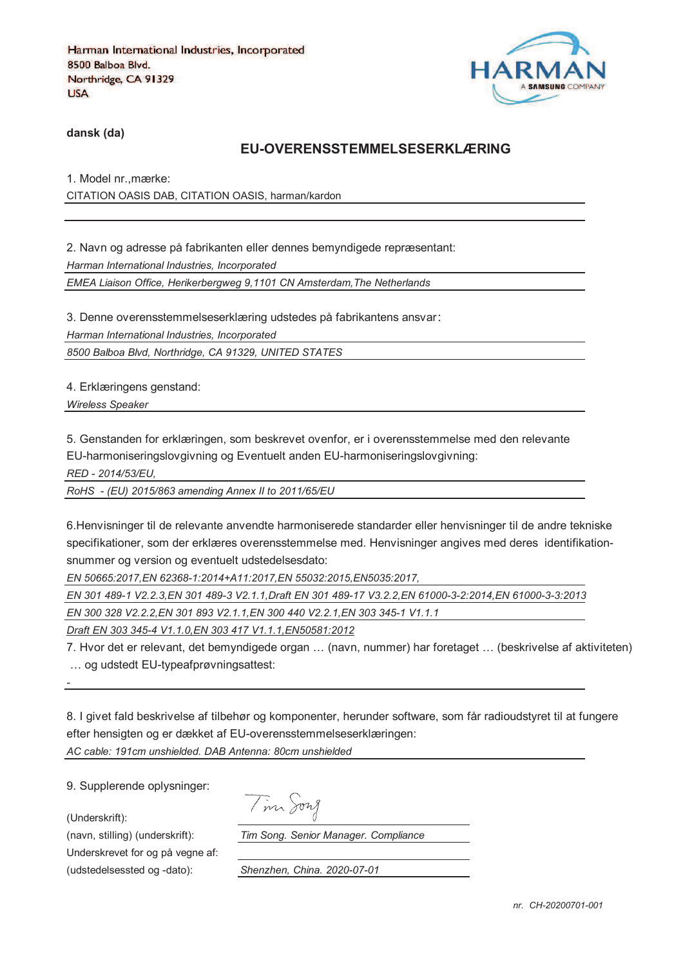

**dansk (da)**

#### **EU-OVERENSSTEMMELSESERKLÆRING**

1. Model nr.,mærke: CITATION OASIS DAB, CITATION OASIS, harman/kardon

2. Navn og adresse på fabrikanten eller dennes bemyndigede repræsentant: *Harman International Industries, Incorporated EMEA Liaison Office, Herikerbergweg 9,1101 CN Amsterdam,The Netherlands*

3. Denne overensstemmelseserklæring udstedes på fabrikantens ansvar *Harman International Industries, Incorporated 8500 Balboa Blvd, Northridge, CA 91329, UNITED STATES*

4. Erklæringens genstand:

*Wireless Speaker* 

5. Genstanden for erklæringen, som beskrevet ovenfor, er i overensstemmelse med den relevante

EU-harmoniseringslovgivning og Eventuelt anden EU-harmoniseringslovgivning:

*RED - 2014/53/EU,*

*RoHS - (EU) 2015/863 amending Annex II to 2011/65/EU*

6.Henvisninger til de relevante anvendte harmoniserede standarder eller henvisninger til de andre tekniske specifikationer, som der erklæres overensstemmelse med. Henvisninger angives med deres identifikationsnummer og version og eventuelt udstedelsesdato:

*EN 50665:2017,EN 62368-1:2014+A11:2017,EN 55032:2015,EN5035:2017,*

*EN 301 489-1 V2.2.3,EN 301 489-3 V2.1.1,Draft EN 301 489-17 V3.2.2,EN 61000-3-2:2014,EN 61000-3-3:2013*

*EN 300 328 V2.2.2,EN 301 893 V2.1.1,EN 300 440 V2.2.1,EN 303 345-1 V1.1.1*

*Draft EN 303 345-4 V1.1.0,EN 303 417 V1.1.1,EN50581:2012*

7. Hvor det er relevant, det bemyndigede organ … (navn, nummer) har foretaget … (beskrivelse af aktiviteten) … og udstedt EU-typeafprøvningsattest:

8. I givet fald beskrivelse af tilbehør og komponenter, herunder software, som får radioudstyret til at fungere efter hensigten og er dækket af EU-overensstemmelseserklæringen: *AC cable: 191cm unshielded. DAB Antenna: 80cm unshielded*

9. Supplerende oplysninger:

(Underskrift):

*-*

Underskrevet for og på vegne af:

Tim Song

(navn, stilling) (underskrift): *Tim Song. Senior Manager. Compliance*

(udstedelsessted og -dato): *Shenzhen, China. 2020-07-01*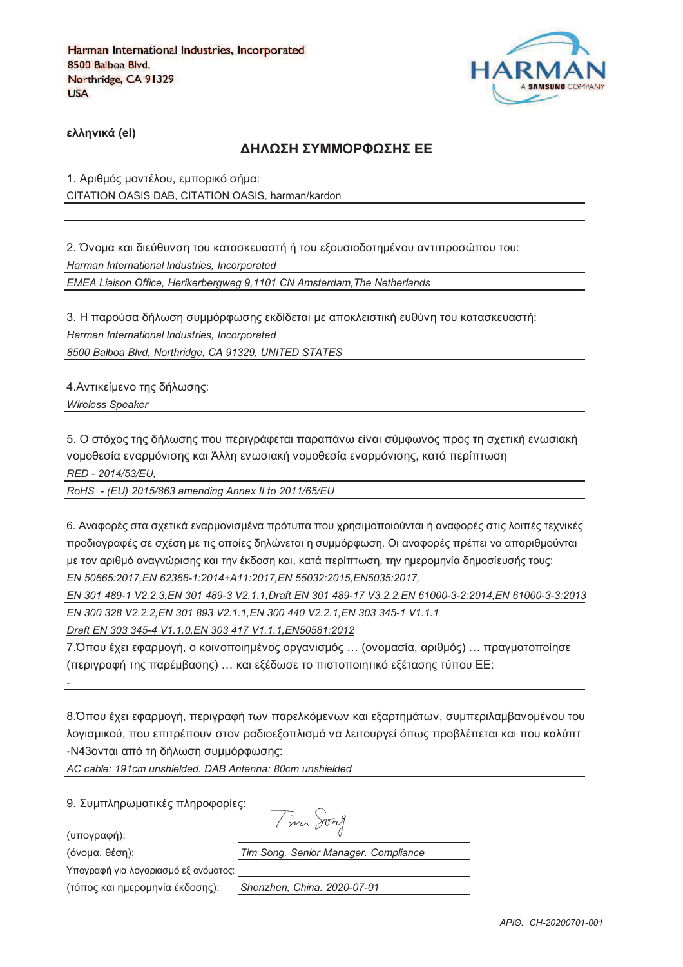

**)\*\*+,-./ (el)**

#### **ΔΗΛΟΣΗ ΣΥΜΜΟΡΦΟΣΗΣ ΕΕ**

1. Αριθμός μοντέλου, εμπορικό σήμα: CITATION OASIS DAB, CITATION OASIS, harman/kardon

2. Όνομα και διεύθυνση του κατασκευαστή ή του εξουσιοδοτημένου αντιπροσώπου του: *Harman International Industries, Incorporated EMEA Liaison Office, Herikerbergweg 9,1101 CN Amsterdam,The Netherlands*

3. Η παρούσα δήλωση συμμόρφωσης εκδίδεται με αποκλειστική ευθύνη του κατασκευαστή: *Harman International Industries, Incorporated*

*8500 Balboa Blvd, Northridge, CA 91329, UNITED STATES*

4. Αντικείμενο της δήλωσης:

*Wireless Speaker* 

5. Ο στόχος της δήλωσης που περιγράφεται παραπάνω είναι σύμφωνος προς τη σχετική ενωσιακή vομοθεσία εναρμόνισης και Άλλη ενωσιακή νομοθεσία εναρμόνισης, κατά περίπτωση *RED - 2014/53/EU,*

*RoHS - (EU) 2015/863 amending Annex II to 2011/65/EU*

6. Αναφορές στα σχετικά εναρμονισμένα πρότυπα που χρησιμοποιούνται ή αναφορές στις λοιπές τεχνικές προδιαγραφές σε σχέση με τις οποίες δηλώνεται η συμμόρφωση. Οι αναφορές πρέπει να απαριθμούνται με τον αριθμό αναννώρισης και την έκδοση και, κατά περίπτωση, την ημερομηνία δημοσίευσής τους; *EN 50665:2017,EN 62368-1:2014+A11:2017,EN 55032:2015,EN5035:2017,*

*EN 301 489-1 V2.2.3,EN 301 489-3 V2.1.1,Draft EN 301 489-17 V3.2.2,EN 61000-3-2:2014,EN 61000-3-3:2013 EN 300 328 V2.2.2,EN 301 893 V2.1.1,EN 300 440 V2.2.1,EN 303 345-1 V1.1.1*

*Draft EN 303 345-4 V1.1.0,EN 303 417 V1.1.1,EN50581:2012*

7.Όπου έχει εφαρμογή, ο κοινοποιημένος οργανισμός ... (ονομασία, αριθμός) ... πραγματοποίησε (περιγραφή της παρέμβασης) ... και εξέδωσε το πιστοποιητικό εξέτασης τύπου ΕΕ:

8. Όπου έχει εφαρμογή, περιγραφή των παρελκόμενων και εξαρτημάτων, συμπεριλαμβανομένου του λογισμικού, που επιτρέπουν στον ραδιοεξοπλισμό να λειτουργεί όπως προβλέπεται και που καλύπτ -N43ονται από τη δήλωση συμμόρφωσης:

*AC cable: 191cm unshielded. DAB Antenna: 80cm unshielded*

9. Συμπληρωματικές πληροφορίες:

(υπογραφή):

*-*

Tim Song

(3652@, 18>D): *Tim Song. Senior Manager. Compliance*

Υπογραφή για λογαριασμό εξ ονόματος:

(73<54 =@0 D2;/52D6J@ 8=B5>D4): *Shenzhen, China. 2020-07-01*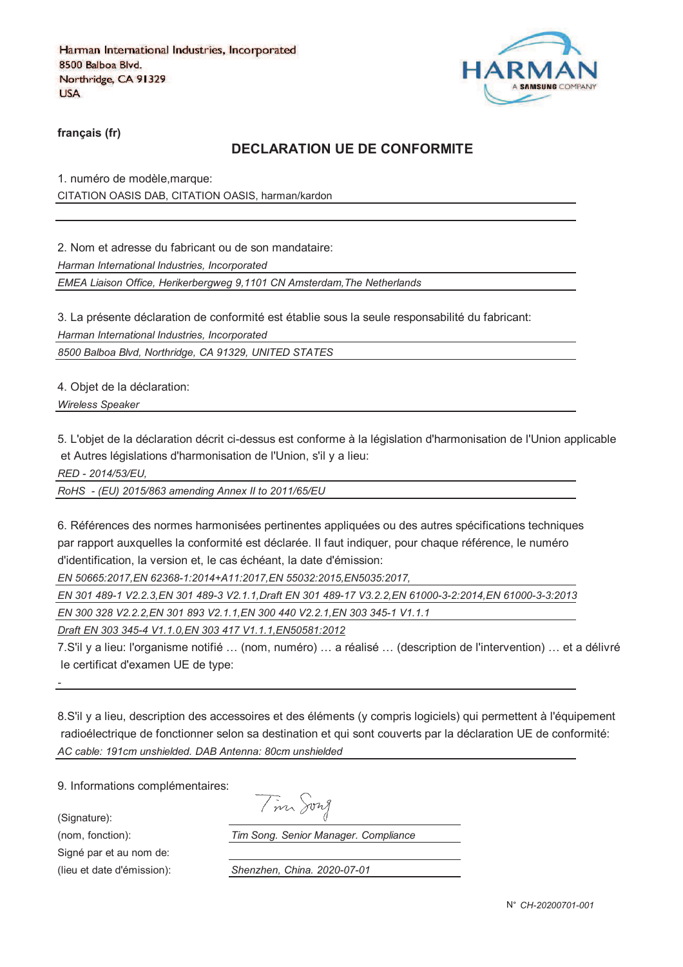

**français (fr)**

#### **DECLARATION UE DE CONFORMITE**

1. numéro de modèle,marque: CITATION OASIS DAB, CITATION OASIS, harman/kardon

2. Nom et adresse du fabricant ou de son mandataire:

*Harman International Industries, Incorporated*

*EMEA Liaison Office, Herikerbergweg 9,1101 CN Amsterdam,The Netherlands*

3. La présente déclaration de conformité est établie sous la seule responsabilité du fabricant:

*Harman International Industries, Incorporated*

*8500 Balboa Blvd, Northridge, CA 91329, UNITED STATES*

4. Objet de la déclaration:

*Wireless Speaker* 

5. L'objet de la déclaration décrit ci-dessus est conforme à la législation d'harmonisation de l'Union applicable et Autres législations d'harmonisation de l'Union, s'il y a lieu:

*RED - 2014/53/EU,*

*RoHS - (EU) 2015/863 amending Annex II to 2011/65/EU*

6. Références des normes harmonisées pertinentes appliquées ou des autres spécifications techniques par rapport auxquelles la conformité est déclarée. Il faut indiquer, pour chaque référence, le numéro d'identification, la version et, le cas échéant, la date d'émission:

*EN 50665:2017,EN 62368-1:2014+A11:2017,EN 55032:2015,EN5035:2017,*

*EN 301 489-1 V2.2.3,EN 301 489-3 V2.1.1,Draft EN 301 489-17 V3.2.2,EN 61000-3-2:2014,EN 61000-3-3:2013*

*EN 300 328 V2.2.2,EN 301 893 V2.1.1,EN 300 440 V2.2.1,EN 303 345-1 V1.1.1*

*Draft EN 303 345-4 V1.1.0,EN 303 417 V1.1.1,EN50581:2012*

7.S'il y a lieu: l'organisme notifié … (nom, numéro) … a réalisé … (description de l'intervention) … et a délivré le certificat d'examen UE de type:

8.S'il y a lieu, description des accessoires et des éléments (y compris logiciels) qui permettent à l'équipement radioélectrique de fonctionner selon sa destination et qui sont couverts par la déclaration UE de conformité: *AC cable: 191cm unshielded. DAB Antenna: 80cm unshielded*

9. Informations complémentaires:

(Signature):

*-*

Signé par et au nom de:

(nom, fonction): *Tim Song. Senior Manager. Compliance*

(lieu et date d'émission): *Shenzhen, China. 2020-07-01*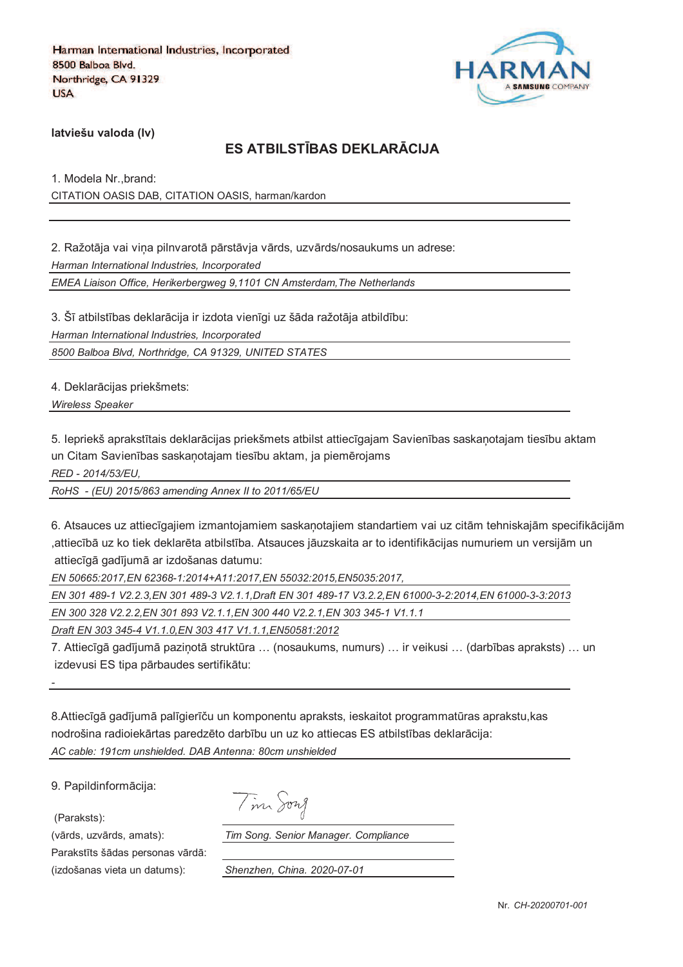

**latviešu valoda (lv)**

# **ES ATBILSTJBAS DEKLARKCIJA**

1. Modela Nr.,brand: CITATION OASIS DAB, CITATION OASIS, harman/kardon

2. Ražotāja vai vina pilnvarotā pārstāvja vārds, uzvārds/nosaukums un adrese: *Harman International Industries, Incorporated EMEA Liaison Office, Herikerbergweg 9,1101 CN Amsterdam,The Netherlands*

3. Šī atbilstības deklarācija ir izdota vienīgi uz šāda ražotāja atbildību: *Harman International Industries, Incorporated*

*8500 Balboa Blvd, Northridge, CA 91329, UNITED STATES*

4. Deklarācijas priekšmets:

*Wireless Speaker* 

5. Iepriekš aprakstītais deklarācijas priekšmets atbilst attiecīgajam Savienības saskanotajam tiesību aktam un Citam Savienības saskaņotajam tiesību aktam, ja piemērojams

*RED - 2014/53/EU,*

*RoHS - (EU) 2015/863 amending Annex II to 2011/65/EU*

6. Atsauces uz attiecīgajiem izmantojamiem saskanotajiem standartiem vai uz citām tehniskajām specifikācijām ,attiecībā uz ko tiek deklarēta atbilstība. Atsauces jāuzskaita ar to identifikācijas numuriem un versijām un attiecīgā gadījumā ar izdošanas datumu:

*EN 50665:2017,EN 62368-1:2014+A11:2017,EN 55032:2015,EN5035:2017,*

*EN 301 489-1 V2.2.3,EN 301 489-3 V2.1.1,Draft EN 301 489-17 V3.2.2,EN 61000-3-2:2014,EN 61000-3-3:2013*

*EN 300 328 V2.2.2,EN 301 893 V2.1.1,EN 300 440 V2.2.1,EN 303 345-1 V1.1.1*

*Draft EN 303 345-4 V1.1.0,EN 303 417 V1.1.1,EN50581:2012*

7. Attiecīgā gadījumā pazinotā struktūra ... (nosaukums, numurs) ... ir veikusi ... (darbības apraksts) ... un izdevusi ES tipa pārbaudes sertifikātu:

8.Attiecīgā gadījumā palīgierīču un komponentu apraksts, ieskaitot programmatūras aprakstu, kas nodrošina radioiekārtas paredzēto darbību un uz ko attiecas ES atbilstības deklarācija: *AC cable: 191cm unshielded. DAB Antenna: 80cm unshielded*

9. Papildinformācija:

(Paraksts):

*-*

Parakstīts šādas personas vārdā: (izdošanas vieta un datums): *Shenzhen, China. 2020-07-01*

(vārds, uzvārds, amats): *Tim Song. Senior Manager. Compliance*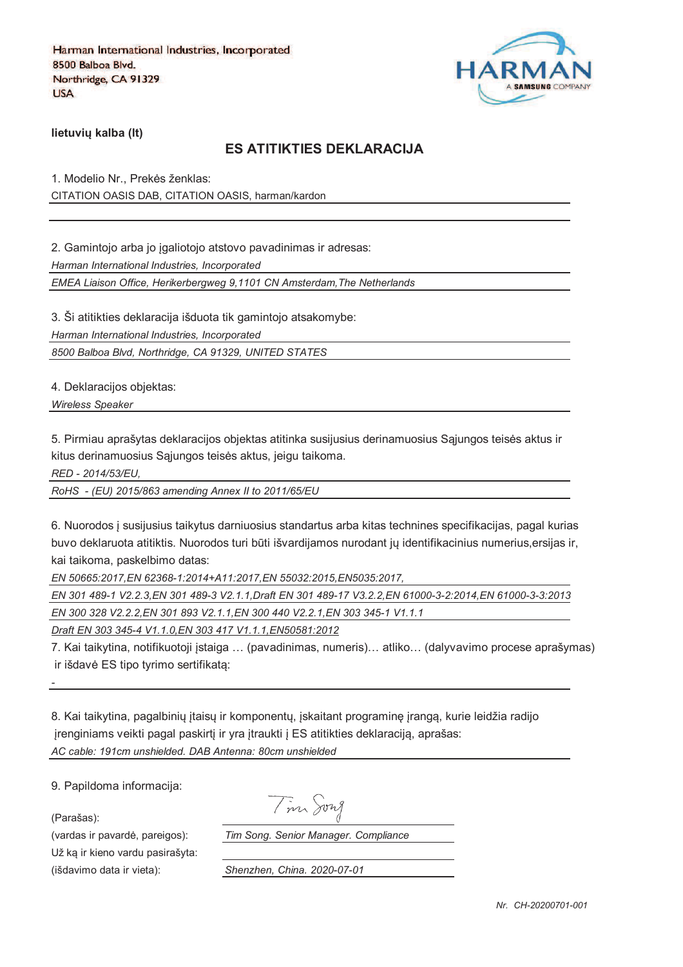

**lietuviu kalba (It)** 

## **ES ATITIKTIES DEKLARACIJA**

1. Modelio Nr., Prekės ženklas: CITATION OASIS DAB, CITATION OASIS, harman/kardon

2. Gamintojo arba jo igaliotojo atstovo pavadinimas ir adresas:

*Harman International Industries, Incorporated*

*EMEA Liaison Office, Herikerbergweg 9,1101 CN Amsterdam,The Netherlands*

3. Ši atitikties deklaracija išduota tik gamintojo atsakomybe:

*Harman International Industries, Incorporated*

*8500 Balboa Blvd, Northridge, CA 91329, UNITED STATES*

4. Deklaracijos objektas:

*Wireless Speaker* 

5. Pirmiau aprašytas deklaracijos objektas atitinka susijusius derinamuosius Sajungos teisės aktus ir kitus derinamuosius Sąjungos teisės aktus, jeigu taikoma.

*RED - 2014/53/EU,*

*RoHS - (EU) 2015/863 amending Annex II to 2011/65/EU*

6. Nuorodos ` susijusius taikytus darniuosius standartus arba kitas technines specifikacijas, pagal kurias buvo deklaruota atitiktis. Nuorodos turi būti išvardijamos nurodant jų identifikacinius numerius,ersijas ir, kai taikoma, paskelbimo datas:

*EN 50665:2017,EN 62368-1:2014+A11:2017,EN 55032:2015,EN5035:2017,*

*EN 301 489-1 V2.2.3,EN 301 489-3 V2.1.1,Draft EN 301 489-17 V3.2.2,EN 61000-3-2:2014,EN 61000-3-3:2013*

*EN 300 328 V2.2.2,EN 301 893 V2.1.1,EN 300 440 V2.2.1,EN 303 345-1 V1.1.1*

*Draft EN 303 345-4 V1.1.0,EN 303 417 V1.1.1,EN50581:2012*

7. Kai taikytina, notifikuotoji `staiga … (pavadinimas, numeris)… atliko… (dalyvavimo procese aprašymas) ir išdavė ES tipo tyrimo sertifikata:

8. Kai taikytina, pagalbinių įtaisų ir komponentų, įskaitant programinę įrangą, kurie leidžia radijo jrenginiams veikti pagal paskirtį ir yra įtraukti į ES atitikties deklaraciją, aprašas: *AC cable: 191cm unshielded. DAB Antenna: 80cm unshielded*

9. Papildoma informacija:

(Parašas):

*-*

Už ka ir kieno vardu pasirašyta: (išdavimo data ir vieta): *Shenzhen, China. 2020-07-01*

Tim Song

(vardas ir pavard\_, pareigos): *Tim Song. Senior Manager. Compliance*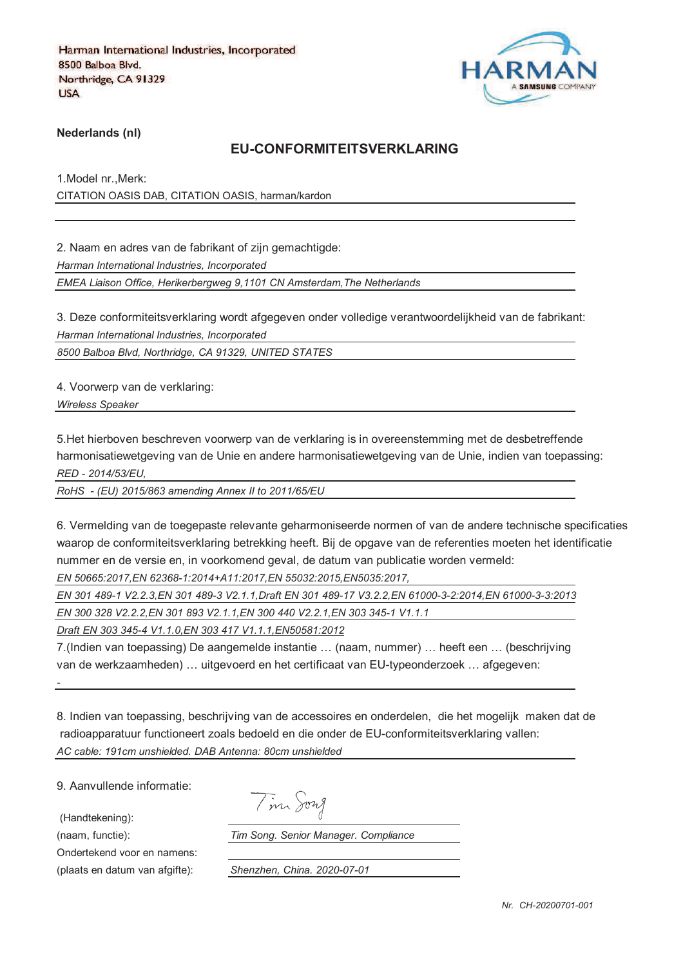

**Nederlands (nl)**

#### **EU-CONFORMITEITSVERKLARING**

1.Model nr.,Merk: CITATION OASIS DAB, CITATION OASIS, harman/kardon

2. Naam en adres van de fabrikant of zijn gemachtigde:

*Harman International Industries, Incorporated*

*EMEA Liaison Office, Herikerbergweg 9,1101 CN Amsterdam,The Netherlands*

3. Deze conformiteitsverklaring wordt afgegeven onder volledige verantwoordelijkheid van de fabrikant: *Harman International Industries, Incorporated*

*8500 Balboa Blvd, Northridge, CA 91329, UNITED STATES*

4. Voorwerp van de verklaring:

*Wireless Speaker* 

5.Het hierboven beschreven voorwerp van de verklaring is in overeenstemming met de desbetreffende harmonisatiewetgeving van de Unie en andere harmonisatiewetgeving van de Unie, indien van toepassing: *RED - 2014/53/EU,*

*RoHS - (EU) 2015/863 amending Annex II to 2011/65/EU*

6. Vermelding van de toegepaste relevante geharmoniseerde normen of van de andere technische specificaties waarop de conformiteitsverklaring betrekking heeft. Bij de opgave van de referenties moeten het identificatie nummer en de versie en, in voorkomend geval, de datum van publicatie worden vermeld:

*EN 50665:2017,EN 62368-1:2014+A11:2017,EN 55032:2015,EN5035:2017,*

*EN 301 489-1 V2.2.3,EN 301 489-3 V2.1.1,Draft EN 301 489-17 V3.2.2,EN 61000-3-2:2014,EN 61000-3-3:2013*

*EN 300 328 V2.2.2,EN 301 893 V2.1.1,EN 300 440 V2.2.1,EN 303 345-1 V1.1.1*

*Draft EN 303 345-4 V1.1.0,EN 303 417 V1.1.1,EN50581:2012*

7.(Indien van toepassing) De aangemelde instantie … (naam, nummer) … heeft een … (beschrijving van de werkzaamheden) … uitgevoerd en het certificaat van EU-typeonderzoek … afgegeven:

8. Indien van toepassing, beschrijving van de accessoires en onderdelen, die het mogelijk maken dat de radioapparatuur functioneert zoals bedoeld en die onder de EU-conformiteitsverklaring vallen: *AC cable: 191cm unshielded. DAB Antenna: 80cm unshielded*

9. Aanvullende informatie:

(Handtekening):

*-*

Ondertekend voor en namens:

(naam, functie): *Tim Song. Senior Manager. Compliance*

(plaats en datum van afgifte): *Shenzhen, China. 2020-07-01*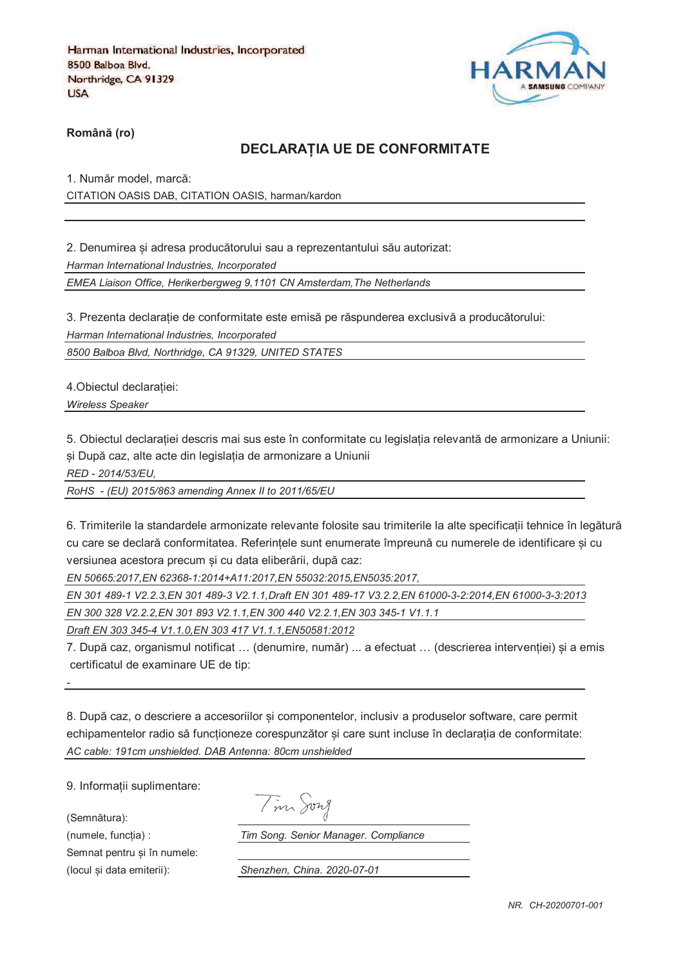

**RomânO (ro)**

#### **DECLARAPIA UE DE CONFORMITATE**

1. Număr model, marcă: CITATION OASIS DAB, CITATION OASIS, harman/kardon

2. Denumirea si adresa producătorului sau a reprezentantului său autorizat: *Harman International Industries, Incorporated EMEA Liaison Office, Herikerbergweg 9,1101 CN Amsterdam,The Netherlands*

3. Prezenta declarație de conformitate este emisă pe răspunderea exclusivă a producătorului:

*Harman International Industries, Incorporated*

*8500 Balboa Blvd, Northridge, CA 91329, UNITED STATES*

4. Obiectul declaratiei:

*Wireless Speaker* 

5. Obiectul declaratiei descris mai sus este în conformitate cu legislatia relevantă de armonizare a Uniunii: și După caz, alte acte din legislația de armonizare a Uniunii

*RED - 2014/53/EU,*

*RoHS - (EU) 2015/863 amending Annex II to 2011/65/EU*

6. Trimiterile la standardele armonizate relevante folosite sau trimiterile la alte specificatii tehnice în legătură cu care se declară conformitatea. Referintele sunt enumerate împreună cu numerele de identificare si cu versiunea acestora precum si cu data eliberării, după caz:

*EN 50665:2017,EN 62368-1:2014+A11:2017,EN 55032:2015,EN5035:2017,*

*EN 301 489-1 V2.2.3,EN 301 489-3 V2.1.1,Draft EN 301 489-17 V3.2.2,EN 61000-3-2:2014,EN 61000-3-3:2013*

*EN 300 328 V2.2.2,EN 301 893 V2.1.1,EN 300 440 V2.2.1,EN 303 345-1 V1.1.1*

*Draft EN 303 345-4 V1.1.0,EN 303 417 V1.1.1,EN50581:2012*

7. După caz, organismul notificat ... (denumire, număr) ... a efectuat ... (descrierea interventiei) si a emis certificatul de examinare UE de tip:

8. După caz, o descriere a accesoriilor și componentelor, inclusiv a produselor software, care permit echipamentelor radio să funcționeze corespunzător și care sunt incluse în declarația de conformitate: *AC cable: 191cm unshielded. DAB Antenna: 80cm unshielded*

9. Informatii suplimentare:

(Semnătura):

*-*

Semnat pentru si în numele:

Tim Song

(numele, funcgia) : *Tim Song. Senior Manager. Compliance*

(locul fi data emiterii): *Shenzhen, China. 2020-07-01*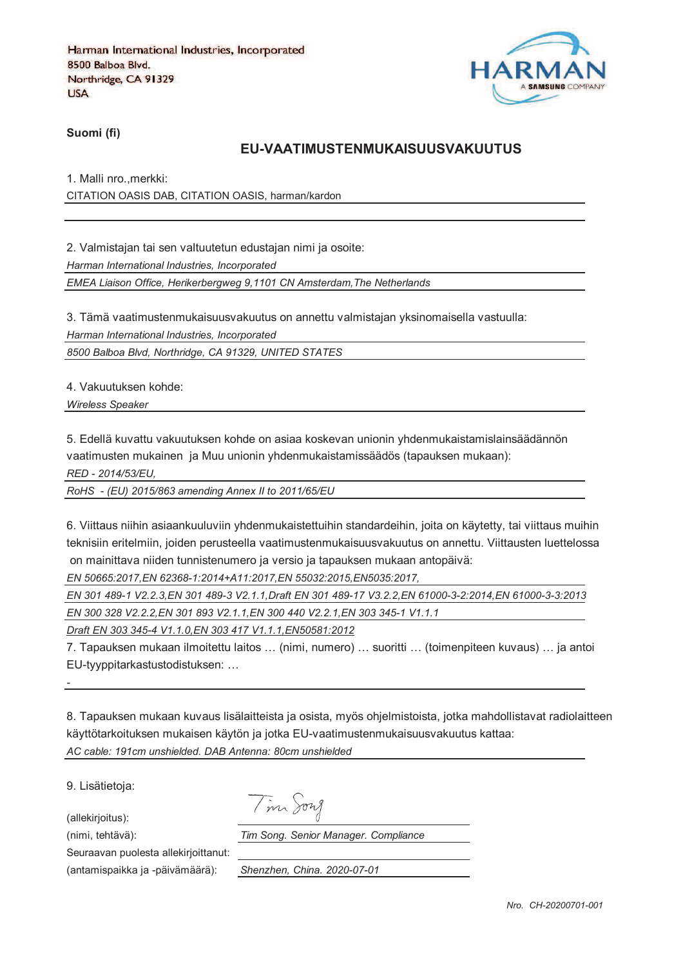

**Suomi (fi)**

#### **EU-VAATIMUSTENMUKAISUUSVAKUUTUS**

1. Malli nro.,merkki:

CITATION OASIS DAB, CITATION OASIS, harman/kardon

2. Valmistajan tai sen valtuutetun edustajan nimi ja osoite:

*Harman International Industries, Incorporated*

*EMEA Liaison Office, Herikerbergweg 9,1101 CN Amsterdam,The Netherlands*

3. Tämä vaatimustenmukaisuusvakuutus on annettu valmistajan yksinomaisella vastuulla:

*Harman International Industries, Incorporated*

*8500 Balboa Blvd, Northridge, CA 91329, UNITED STATES*

4. Vakuutuksen kohde:

*Wireless Speaker* 

5. Edellä kuvattu vakuutuksen kohde on asiaa koskevan unionin yhdenmukaistamislainsäädännön vaatimusten mukainen ja Muu unionin yhdenmukaistamissäädös (tapauksen mukaan):

*RED - 2014/53/EU,*

*RoHS - (EU) 2015/863 amending Annex II to 2011/65/EU*

6. Viittaus niihin asiaankuuluviin yhdenmukaistettuihin standardeihin, joita on käytetty, tai viittaus muihin teknisiin eritelmiin, joiden perusteella vaatimustenmukaisuusvakuutus on annettu. Viittausten luettelossa on mainittava niiden tunnistenumero ja versio ja tapauksen mukaan antopäivä:

*EN 50665:2017,EN 62368-1:2014+A11:2017,EN 55032:2015,EN5035:2017,*

*EN 301 489-1 V2.2.3,EN 301 489-3 V2.1.1,Draft EN 301 489-17 V3.2.2,EN 61000-3-2:2014,EN 61000-3-3:2013*

*EN 300 328 V2.2.2,EN 301 893 V2.1.1,EN 300 440 V2.2.1,EN 303 345-1 V1.1.1*

*Draft EN 303 345-4 V1.1.0,EN 303 417 V1.1.1,EN50581:2012*

7. Tapauksen mukaan ilmoitettu laitos … (nimi, numero) … suoritti … (toimenpiteen kuvaus) … ja antoi EU-tyyppitarkastustodistuksen: …

8. Tapauksen mukaan kuvaus lisälaitteista ja osista, myös ohjelmistoista, jotka mahdollistavat radiolaitteen käyttötarkoituksen mukaisen käytön ja jotka EU-vaatimustenmukaisuusvakuutus kattaa: *AC cable: 191cm unshielded. DAB Antenna: 80cm unshielded*

9. Lisätietoja:

*-*

(allekirjoitus):

Tim Song

(nimi, tehtävä): *Tim Song. Senior Manager. Compliance*

Seuraavan puolesta allekirjoittanut:

(antamispaikka ja -päivämäärä): *Shenzhen, China. 2020-07-01*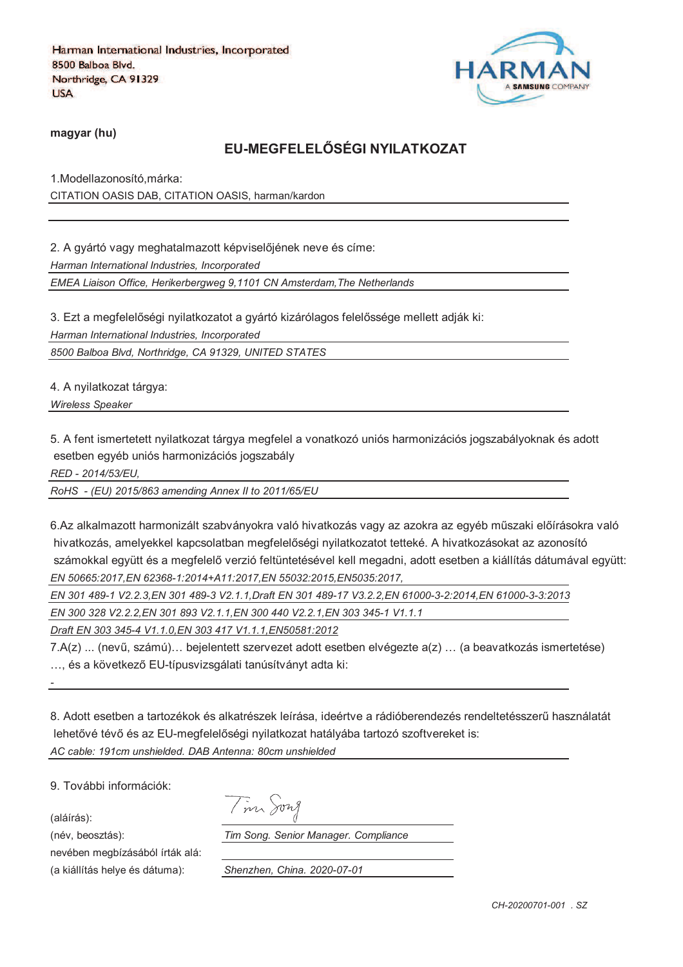

**magyar (hu)**

# **EU-MEGFELELRSÉGI NYILATKOZAT**

1.Modellazonosító,márka: CITATION OASIS DAB, CITATION OASIS, harman/kardon

2. A gyártó vagy meghatalmazott képviselőjének neve és címe: *Harman International Industries, Incorporated EMEA Liaison Office, Herikerbergweg 9,1101 CN Amsterdam,The Netherlands*

3. Ezt a megfelelőségi nyilatkozatot a gyártó kizárólagos felelőssége mellett adják ki:

*Harman International Industries, Incorporated*

*8500 Balboa Blvd, Northridge, CA 91329, UNITED STATES*

4. A nyilatkozat tárgya:

*Wireless Speaker* 

5. A fent ismertetett nyilatkozat tárgya megfelel a vonatkozó uniós harmonizációs jogszabályoknak és adott esetben egyéb uniós harmonizációs jogszabály

*RED - 2014/53/EU,*

*RoHS - (EU) 2015/863 amending Annex II to 2011/65/EU*

6.Az alkalmazott harmonizált szabványokra való hivatkozás vagy az azokra az egyéb műszaki előírásokra való hivatkozás, amelyekkel kapcsolatban megfelelőségi nyilatkozatot tetteké. A hivatkozásokat az azonosító számokkal együtt és a megfelelő verzió feltüntetésével kell megadni, adott esetben a kiállítás dátumával együtt: *EN 50665:2017,EN 62368-1:2014+A11:2017,EN 55032:2015,EN5035:2017,*

*EN 301 489-1 V2.2.3,EN 301 489-3 V2.1.1,Draft EN 301 489-17 V3.2.2,EN 61000-3-2:2014,EN 61000-3-3:2013*

*EN 300 328 V2.2.2,EN 301 893 V2.1.1,EN 300 440 V2.2.1,EN 303 345-1 V1.1.1*

*Draft EN 303 345-4 V1.1.0,EN 303 417 V1.1.1,EN50581:2012*

7.A(z) ... (nevi, számú)… bejelentett szervezet adott esetben elvégezte a(z) … (a beavatkozás ismertetése) ... és a következő EU-típusvizsgálati tanúsítványt adta ki:

8. Adott esetben a tartozékok és alkatrészek leírása, ideértve a rádióberendezés rendeltetésszeri használatát lehetővé tévő és az EU-megfelelőségi nyilatkozat hatályába tartozó szoftvereket is: *AC cable: 191cm unshielded. DAB Antenna: 80cm unshielded*

9. További információk:

(aláírás):

*-*

nevében megbízásából írták alá: (a kiállítás helye és dátuma): *Shenzhen, China. 2020-07-01*

(név, beosztás): *Tim Song. Senior Manager. Compliance*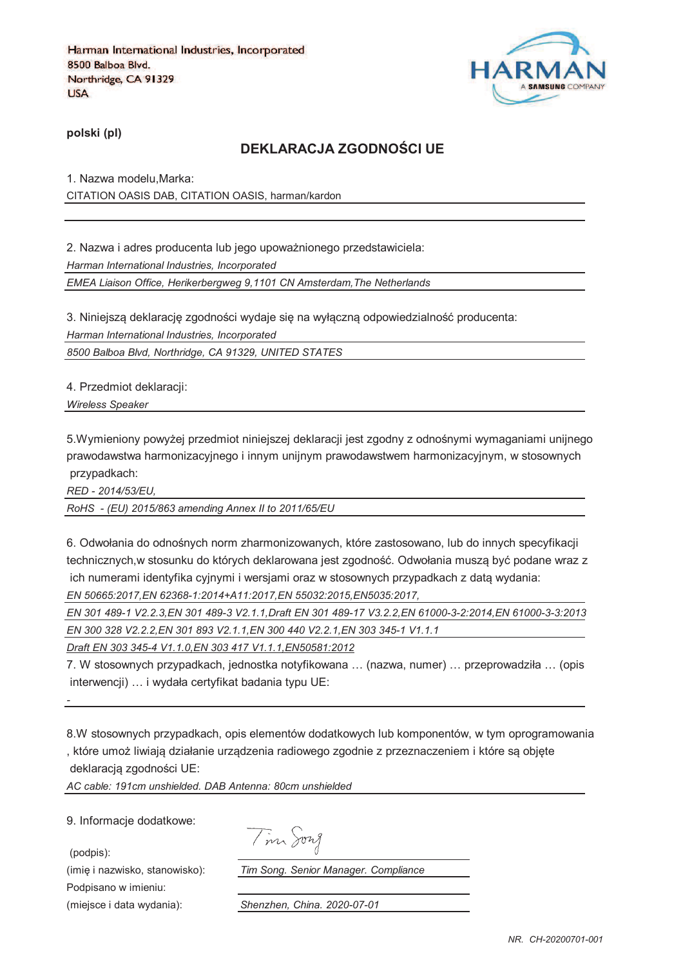

**polski (pl)**

# **DEKLARACJA ZGODNOTCI UE**

1. Nazwa modelu,Marka: CITATION OASIS DAB, CITATION OASIS, harman/kardon

2. Nazwa i adres producenta lub jego upoważnionego przedstawiciela: *Harman International Industries, Incorporated EMEA Liaison Office, Herikerbergweg 9,1101 CN Amsterdam,The Netherlands*

3. Niniejszą deklarację zgodności wydaje się na wyłączną odpowiedzialność producenta: *Harman International Industries, Incorporated*

*8500 Balboa Blvd, Northridge, CA 91329, UNITED STATES*

4. Przedmiot deklaracji:

*Wireless Speaker* 

5.Wymieniony powyżej przedmiot niniejszej deklaracji jest zgodny z odnośnymi wymaganiami unijnego prawodawstwa harmonizacyjnego i innym unijnym prawodawstwem harmonizacyjnym, w stosownych przypadkach:

*RED - 2014/53/EU,*

*RoHS - (EU) 2015/863 amending Annex II to 2011/65/EU*

6. Odwołania do odnośnych norm zharmonizowanych, które zastosowano, lub do innych specyfikacji technicznych,w stosunku do których deklarowana jest zgodność. Odwołania musza być podane wraz z ich numerami identyfika cyjnymi i wersjami oraz w stosownych przypadkach z data wydania: *EN 50665:2017,EN 62368-1:2014+A11:2017,EN 55032:2015,EN5035:2017,*

*EN 301 489-1 V2.2.3,EN 301 489-3 V2.1.1,Draft EN 301 489-17 V3.2.2,EN 61000-3-2:2014,EN 61000-3-3:2013 EN 300 328 V2.2.2,EN 301 893 V2.1.1,EN 300 440 V2.2.1,EN 303 345-1 V1.1.1*

*Draft EN 303 345-4 V1.1.0,EN 303 417 V1.1.1,EN50581:2012*

7. W stosownych przypadkach, jednostka notyfikowana … (nazwa, numer) … przeprowadziła … (opis interwencji) … i wydała certyfikat badania typu UE:

*-*

8.W stosownych przypadkach, opis elementów dodatkowych lub komponentów, w tym oprogramowania , które umoj liwiaja działanie urzadzenia radiowego zgodnie z przeznaczeniem i które sa objcte deklaracją zgodności UE:

*AC cable: 191cm unshielded. DAB Antenna: 80cm unshielded*

9. Informacje dodatkowe:

(podpis):

Podpisano w imieniu: (miejsce i data wydania): *Shenzhen, China. 2020-07-01*

Tim Song

(imię i nazwisko, stanowisko): *Tim Song. Senior Manager. Compliance*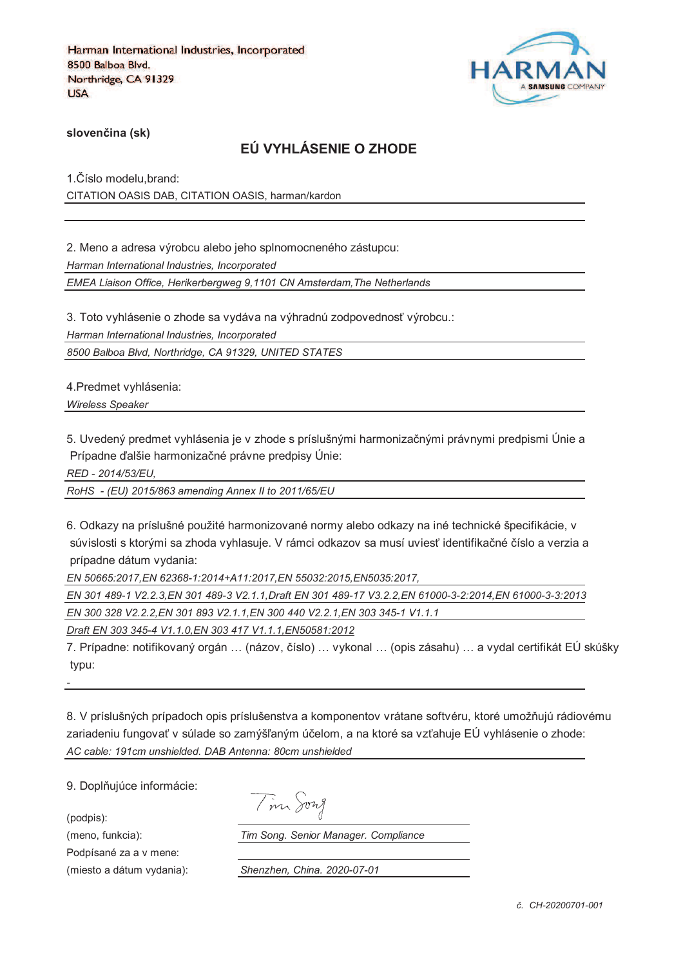

**sloven%ina (sk)**

# **EÚ VYHLÁSENIE O ZHODE**

1. Číslo modelu, brand: CITATION OASIS DAB, CITATION OASIS, harman/kardon

2. Meno a adresa výrobcu alebo jeho splnomocneného zástupcu: *Harman International Industries, Incorporated EMEA Liaison Office, Herikerbergweg 9,1101 CN Amsterdam,The Netherlands*

3. Toto vyhlásenie o zhode sa vydáva na výhradnú zodpovednosť výrobcu.:

*Harman International Industries, Incorporated*

*8500 Balboa Blvd, Northridge, CA 91329, UNITED STATES*

4.Predmet vyhlásenia:

*Wireless Speaker* 

5. Uvedený predmet vyhlásenia je v zhode s príslušnými harmonizačnými právnymi predpismi Únie a Prípadne ďalšie harmonizačné právne predpisy Únie:

*RED - 2014/53/EU,*

*RoHS - (EU) 2015/863 amending Annex II to 2011/65/EU*

6. Odkazy na príslušné použité harmonizované normy alebo odkazy na iné technické špecifikácie, v súvislosti s ktorými sa zhoda vyhlasuje. V rámci odkazov sa musí uviesť identifikačné číslo a verzia a prípadne dátum vydania:

*EN 50665:2017,EN 62368-1:2014+A11:2017,EN 55032:2015,EN5035:2017,*

*EN 301 489-1 V2.2.3,EN 301 489-3 V2.1.1,Draft EN 301 489-17 V3.2.2,EN 61000-3-2:2014,EN 61000-3-3:2013 EN 300 328 V2.2.2,EN 301 893 V2.1.1,EN 300 440 V2.2.1,EN 303 345-1 V1.1.1*

*Draft EN 303 345-4 V1.1.0,EN 303 417 V1.1.1,EN50581:2012*

7. Prípadne: notifikovaný orgán ... (názov, číslo) ... vykonal ... (opis zásahu) ... a vydal certifikát EÚ skúšky typu:

8. V príslušných prípadoch opis príslušenstva a komponentov vrátane softvéru, ktoré umožňujú rádiovému zariadeniu fungovať v súlade so zamýšľaným účelom, a na ktoré sa vzťahuje EÚ vyhlásenie o zhode: *AC cable: 191cm unshielded. DAB Antenna: 80cm unshielded*

9. Doplňujúce informácie:

(podpis):

*-*

Podpísané za a v mene:

Tim Song

(meno, funkcia): *Tim Song. Senior Manager. Compliance*

(miesto a dátum vydania): *Shenzhen, China. 2020-07-01*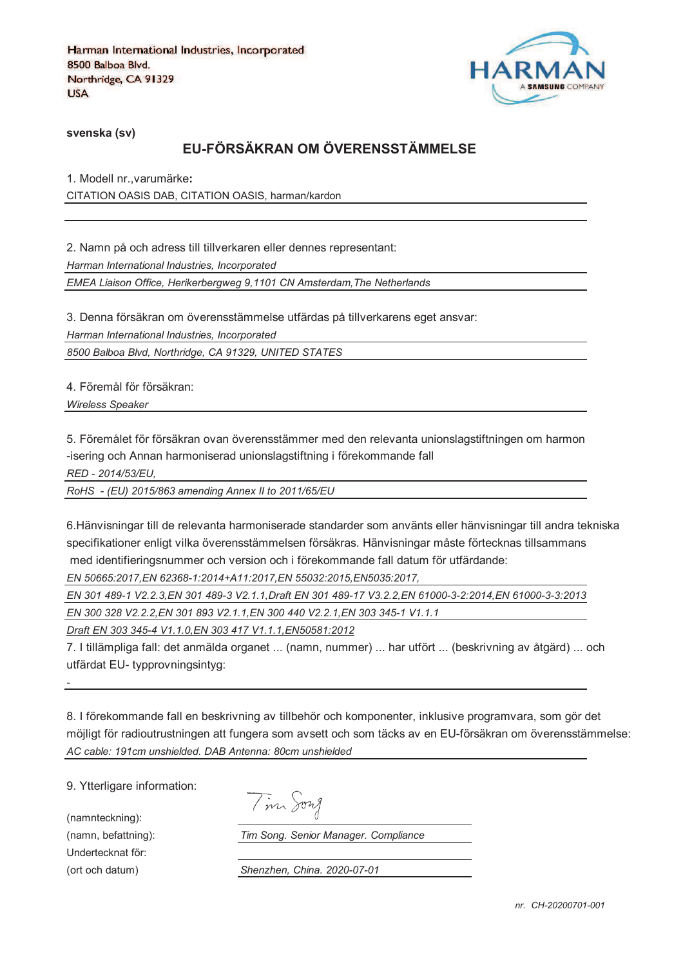

**svenska (sv)**

# **EU-FÖRSÄKRAN OM ÖVERENSSTÄMMELSE**

1. Modell nr.,varumärke**:** CITATION OASIS DAB, CITATION OASIS, harman/kardon

2. Namn på och adress till tillverkaren eller dennes representant: *Harman International Industries, Incorporated EMEA Liaison Office, Herikerbergweg 9,1101 CN Amsterdam,The Netherlands*

3. Denna försäkran om överensstämmelse utfärdas på tillverkarens eget ansvar:

*Harman International Industries, Incorporated*

*8500 Balboa Blvd, Northridge, CA 91329, UNITED STATES*

4. Föremål för försäkran:

*Wireless Speaker* 

5. Föremålet för försäkran ovan överensstämmer med den relevanta unionslagstiftningen om harmon -isering och Annan harmoniserad unionslagstiftning i förekommande fall

*RED - 2014/53/EU,*

*RoHS - (EU) 2015/863 amending Annex II to 2011/65/EU*

6.Hänvisningar till de relevanta harmoniserade standarder som använts eller hänvisningar till andra tekniska specifikationer enligt vilka överensstämmelsen försäkras. Hänvisningar måste förtecknas tillsammans med identifieringsnummer och version och i förekommande fall datum för utfärdande:

*EN 50665:2017,EN 62368-1:2014+A11:2017,EN 55032:2015,EN5035:2017,*

*EN 301 489-1 V2.2.3,EN 301 489-3 V2.1.1,Draft EN 301 489-17 V3.2.2,EN 61000-3-2:2014,EN 61000-3-3:2013*

*EN 300 328 V2.2.2,EN 301 893 V2.1.1,EN 300 440 V2.2.1,EN 303 345-1 V1.1.1*

*Draft EN 303 345-4 V1.1.0,EN 303 417 V1.1.1,EN50581:2012*

7. I tillämpliga fall: det anmälda organet ... (namn, nummer) ... har utfört ... (beskrivning av åtgärd) ... och utfärdat EU- typprovningsintyg:

8. I förekommande fall en beskrivning av tillbehör och komponenter, inklusive programvara, som gör det möjligt för radioutrustningen att fungera som avsett och som täcks av en EU-försäkran om överensstämmelse: *AC cable: 191cm unshielded. DAB Antenna: 80cm unshielded*

9. Ytterligare information:

(namnteckning): Undertecknat för:

*-*

Tim Song

(namn, befattning): *Tim Song. Senior Manager. Compliance*

(ort och datum) *Shenzhen, China. 2020-07-01*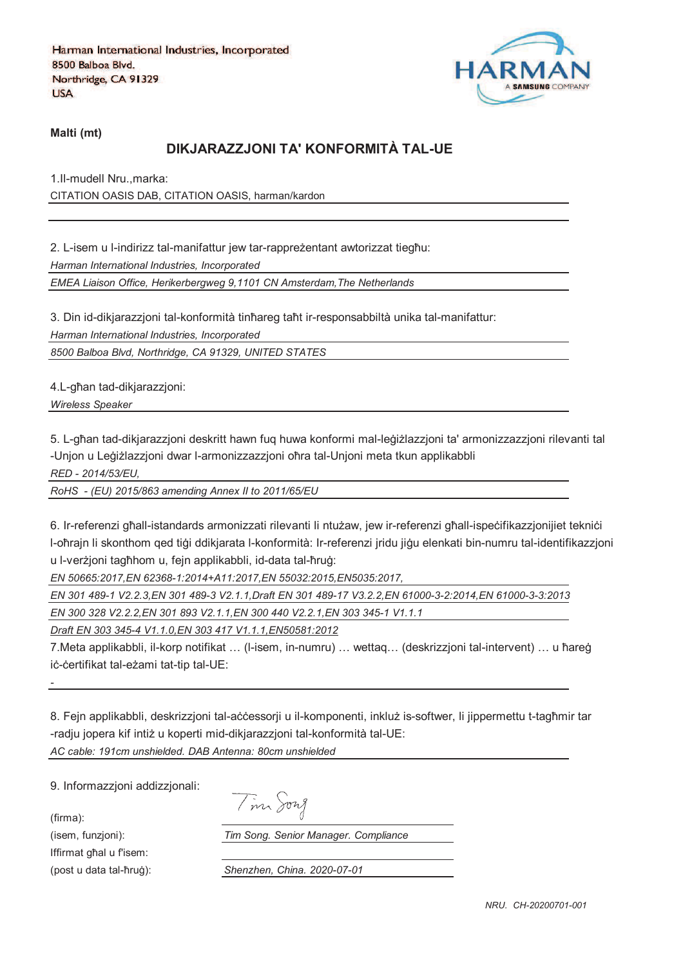

**Malti (mt)**

# **DIKJARAZZJONI TA' KONFORMITÀ TAL-UE**

1.Il-mudell Nru.,marka: CITATION OASIS DAB, CITATION OASIS, harman/kardon

2. L-isem u l-indirizz tal-manifattur jew tar-rappreżentant awtorizzat tiegħu: *Harman International Industries, Incorporated*

*EMEA Liaison Office, Herikerbergweg 9,1101 CN Amsterdam,The Netherlands*

3. Din id-dikjarazzjoni tal-konformità tinħareg taħt ir-responsabbiltà unika tal-manifattur:

*Harman International Industries, Incorporated*

*8500 Balboa Blvd, Northridge, CA 91329, UNITED STATES*

4.L-ghan tad-dikjarazzjoni:

*Wireless Speaker* 

5. L-għan tad-dikiarazzioni deskritt hawn fug huwa konformi mal-leġiżlazzioni ta' armonizzazzioni rilevanti tal -Unjon u Leģiżlazzjoni dwar l-armonizzazzjoni oħra tal-Unjoni meta tkun applikabbli

*RED - 2014/53/EU,*

*RoHS - (EU) 2015/863 amending Annex II to 2011/65/EU*

6. Ir-referenzi għall-istandards armonizzati rilevanti li ntużaw, jew ir-referenzi għall-ispeċifikazzjonijiet tekniċi l-oħrajn li skonthom qed tiġi ddikjarata l-konformità: Ir-referenzi jridu jiġu elenkati bin-numru tal-identifikazzjoni u l-verzioni taghhom u, fein applikabbli, id-data tal-hrug:

*EN 50665:2017,EN 62368-1:2014+A11:2017,EN 55032:2015,EN5035:2017,*

*EN 301 489-1 V2.2.3,EN 301 489-3 V2.1.1,Draft EN 301 489-17 V3.2.2,EN 61000-3-2:2014,EN 61000-3-3:2013*

*EN 300 328 V2.2.2,EN 301 893 V2.1.1,EN 300 440 V2.2.1,EN 303 345-1 V1.1.1*

*Draft EN 303 345-4 V1.1.0,EN 303 417 V1.1.1,EN50581:2012*

7.Meta applikabbli, il-korp notifikat ... (I-isem, in-numru) ... wettaq... (deskrizzjoni tal-intervent) ... u ħareġ iċ-ċertifikat tal-eżami tat-tip tal-UE:

8. Fejn applikabbli, deskrizzjoni tal-accessorji u il-komponenti, inkluž is-softwer, li jippermettu t-tagħmir tar -radju jopera kif intiż u koperti mid-dikjarazzjoni tal-konformità tal-UE: *AC cable: 191cm unshielded. DAB Antenna: 80cm unshielded*

9. Informazzjoni addizzjonali:

(firma):

*-*

Iffirmat ghal u f'isem:

(isem, funzjoni): *Tim Song. Senior Manager. Compliance*

(post u data tal-qrur): *Shenzhen, China. 2020-07-01*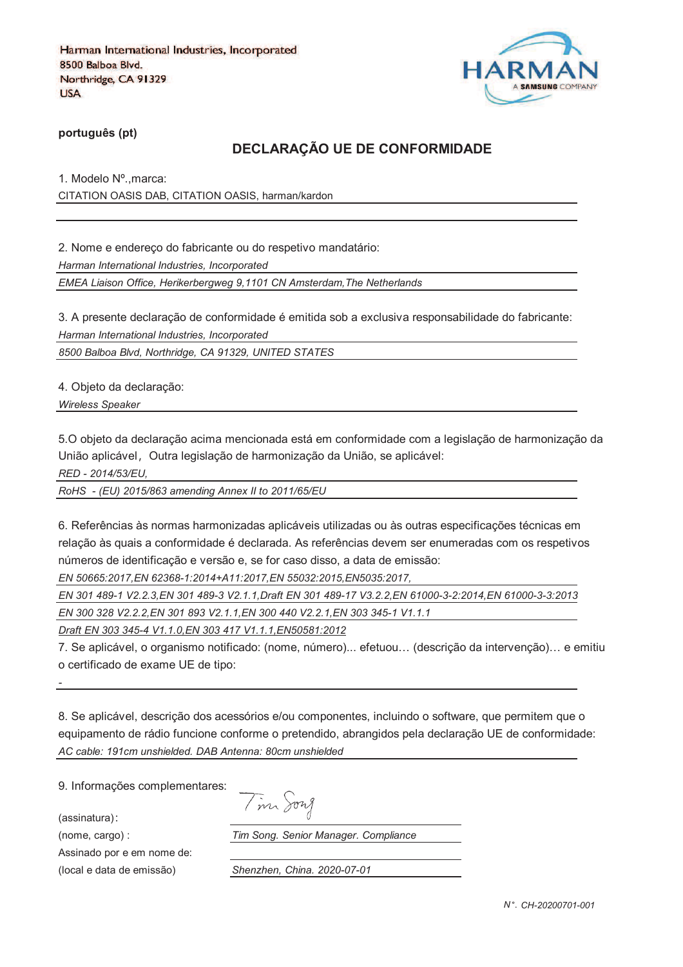

**português (pt)**

### **DECLARAÇÃO UE DE CONFORMIDADE**

1. Modelo Nº.,marca: CITATION OASIS DAB, CITATION OASIS, harman/kardon

2. Nome e endereço do fabricante ou do respetivo mandatário:

*Harman International Industries, Incorporated*

*EMEA Liaison Office, Herikerbergweg 9,1101 CN Amsterdam,The Netherlands*

3. A presente declaração de conformidade é emitida sob a exclusiva responsabilidade do fabricante: *Harman International Industries, Incorporated*

*8500 Balboa Blvd, Northridge, CA 91329, UNITED STATES*

4. Objeto da declaração:

*Wireless Speaker* 

5.O objeto da declaração acima mencionada está em conformidade com a legislação de harmonização da União aplicável, Outra legislação de harmonização da União, se aplicável:

*RED - 2014/53/EU,*

*RoHS - (EU) 2015/863 amending Annex II to 2011/65/EU*

6. Referências às normas harmonizadas aplicáveis utilizadas ou às outras especificações técnicas em relação às quais a conformidade é declarada. As referências devem ser enumeradas com os respetivos números de identificação e versão e, se for caso disso, a data de emissão:

*EN 50665:2017,EN 62368-1:2014+A11:2017,EN 55032:2015,EN5035:2017,*

*EN 301 489-1 V2.2.3,EN 301 489-3 V2.1.1,Draft EN 301 489-17 V3.2.2,EN 61000-3-2:2014,EN 61000-3-3:2013*

*EN 300 328 V2.2.2,EN 301 893 V2.1.1,EN 300 440 V2.2.1,EN 303 345-1 V1.1.1*

*Draft EN 303 345-4 V1.1.0,EN 303 417 V1.1.1,EN50581:2012*

7. Se aplicável, o organismo notificado: (nome, número)... efetuou… (descrição da intervenção)… e emitiu o certificado de exame UE de tipo:

8. Se aplicável, descrição dos acessórios e/ou componentes, incluindo o software, que permitem que o equipamento de rádio funcione conforme o pretendido, abrangidos pela declaração UE de conformidade: *AC cable: 191cm unshielded. DAB Antenna: 80cm unshielded*

9. Informações complementares:

(assinatura)

*-*

Assinado por e em nome de:

(nome, cargo) : *Tim Song. Senior Manager. Compliance*

(local e data de emissão) *Shenzhen, China. 2020-07-01*